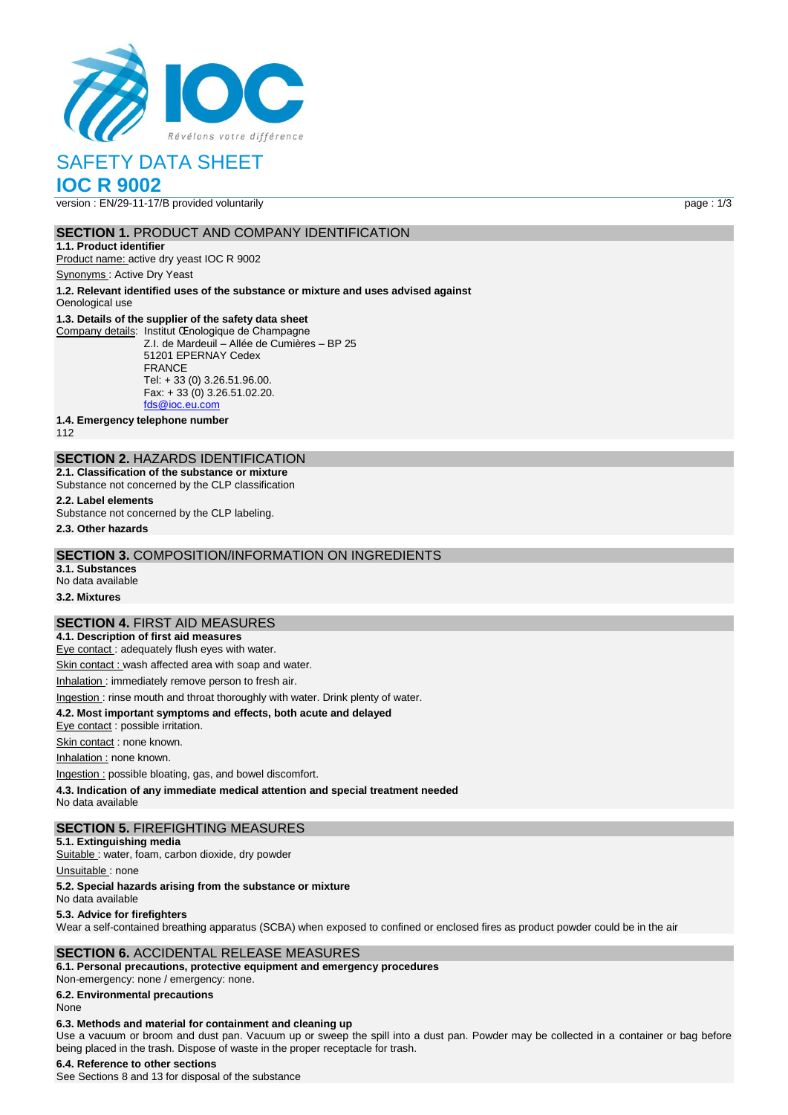

# SAFETY DATA SHEET

# **IOC R 9002**

version : EN/29-11-17/B provided voluntarily page : 1/3

#### **SECTION 1. PRODUCT AND COMPANY IDENTIFICATION**

**1.1. Product identifier** Product name: active dry yeast IOC R 9002

Synonyms : Active Dry Yeast

**1.2. Relevant identified uses of the substance or mixture and uses advised against** Oenological use

#### **1.3. Details of the supplier of the safety data sheet**

Company details: Institut Œnologique de Champagne Z.I. de Mardeuil – Allée de Cumières – BP 25 51201 EPERNAY Cedex FRANCE Tel: + 33 (0) 3.26.51.96.00. Fax: + 33 (0) 3.26.51.02.20. [fds@ioc.eu.com](mailto:fds@ioc.eu.com)

**1.4. Emergency telephone number**

112

## **SECTION 2.** HAZARDS IDENTIFICATION

**2.1. Classification of the substance or mixture** Substance not concerned by the CLP classification

**2.2. Label elements**

Substance not concerned by the CLP labeling.

**2.3. Other hazards**

#### **SECTION 3.** COMPOSITION/INFORMATION ON INGREDIENTS

**3.1. Substances** No data available

**3.2. Mixtures**

#### **SECTION 4.** FIRST AID MEASURES

**4.1. Description of first aid measures** Eye contact : adequately flush eyes with water.

Skin contact : wash affected area with soap and water.

Inhalation : immediately remove person to fresh air.

Ingestion : rinse mouth and throat thoroughly with water. Drink plenty of water.

**4.2. Most important symptoms and effects, both acute and delayed**

Eye contact : possible irritation.

Skin contact : none known.

Inhalation : none known.

Ingestion : possible bloating, gas, and bowel discomfort.

**4.3. Indication of any immediate medical attention and special treatment needed**

No data available

#### **SECTION 5.** FIREFIGHTING MEASURES

**5.1. Extinguishing media**

Suitable : water, foam, carbon dioxide, dry powder

Unsuitable: none

#### **5.2. Special hazards arising from the substance or mixture**

No data available

#### **5.3. Advice for firefighters**

Wear a self-contained breathing apparatus (SCBA) when exposed to confined or enclosed fires as product powder could be in the air

#### **SECTION 6.** ACCIDENTAL RELEASE MEASURES

**6.1. Personal precautions, protective equipment and emergency procedures** Non‐emergency: none / emergency: none.

**6.2. Environmental precautions**

#### None

#### **6.3. Methods and material for containment and cleaning up**

Use a vacuum or broom and dust pan. Vacuum up or sweep the spill into a dust pan. Powder may be collected in a container or bag before being placed in the trash. Dispose of waste in the proper receptacle for trash.

#### **6.4. Reference to other sections**

See Sections 8 and 13 for disposal of the substance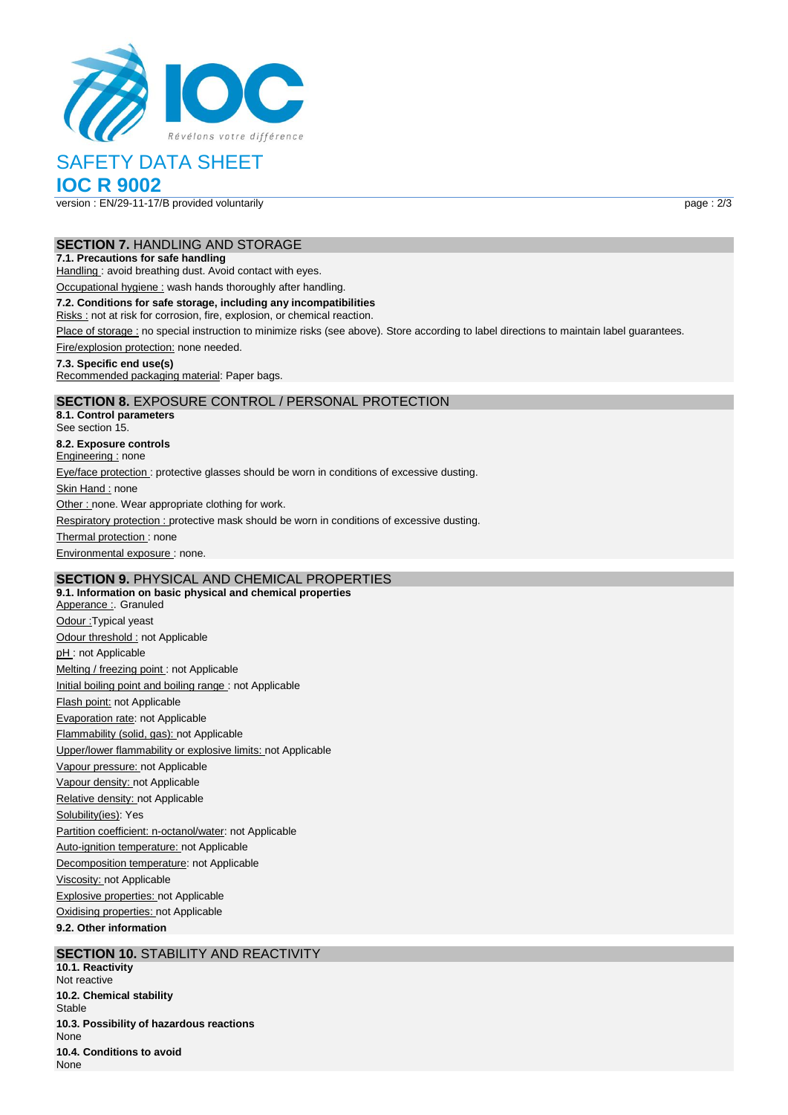

# SAFETY DATA SHEET

# **IOC R 9002**

version : EN/29-11-17/B provided voluntarily page : 2/3

#### **SECTION 7.** HANDLING AND STORAGE

#### **7.1. Precautions for safe handling**

Handling : avoid breathing dust. Avoid contact with eyes.

Occupational hygiene : wash hands thoroughly after handling.

#### **7.2. Conditions for safe storage, including any incompatibilities**

Risks : not at risk for corrosion, fire, explosion, or chemical reaction.

Place of storage : no special instruction to minimize risks (see above). Store according to label directions to maintain label guarantees.

Fire/explosion protection: none needed.

#### **7.3. Specific end use(s)**

Recommended packaging material: Paper bags.

### **SECTION 8.** EXPOSURE CONTROL / PERSONAL PROTECTION

**8.1. Control parameters** See section 15. **8.2. Exposure controls** Engineering : none Eye/face protection : protective glasses should be worn in conditions of excessive dusting. Skin Hand : none Other : none. Wear appropriate clothing for work. Respiratory protection : protective mask should be worn in conditions of excessive dusting. Thermal protection: none Environmental exposure : none.

## **SECTION 9.** PHYSICAL AND CHEMICAL PROPERTIES

**9.1. Information on basic physical and chemical properties** Apperance : Granuled Odour :Typical yeast Odour threshold : not Applicable pH: not Applicable Melting / freezing point : not Applicable Initial boiling point and boiling range : not Applicable Flash point: not Applicable Evaporation rate: not Applicable Flammability (solid, gas): not Applicable Upper/lower flammability or explosive limits: not Applicable Vapour pressure: not Applicable Vapour density: not Applicable Relative density: not Applicable Solubility(ies): Yes Partition coefficient: n-octanol/water: not Applicable Auto-ignition temperature: not Applicable Decomposition temperature: not Applicable Viscosity: not Applicable Explosive properties: not Applicable Oxidising properties: not Applicable **9.2. Other information**

#### **SECTION 10. STABILITY AND REACTIVITY**

**10.1. Reactivity** Not reactive **10.2. Chemical stability** Stable **10.3. Possibility of hazardous reactions** None **10.4. Conditions to avoid** None